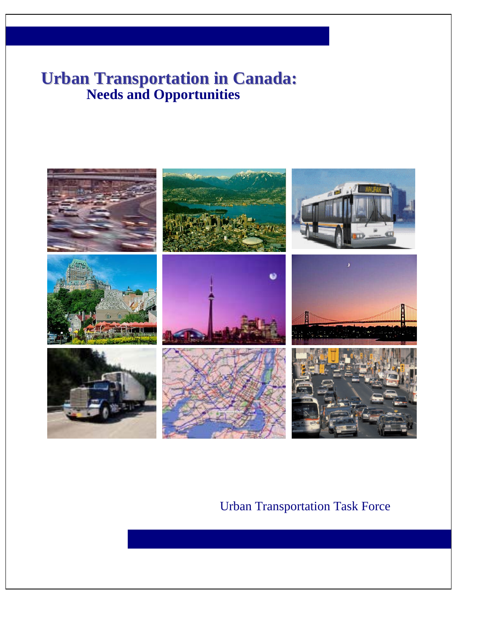# **Needs and Opportunities Urban Transportation in Canada:**



# Urban Transportation Task Force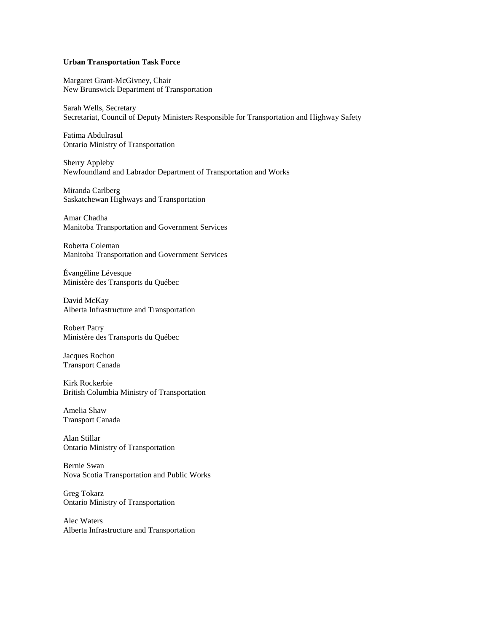#### **Urban Transportation Task Force**

Margaret Grant-McGivney, Chair New Brunswick Department of Transportation

Sarah Wells, Secretary Secretariat, Council of Deputy Ministers Responsible for Transportation and Highway Safety

Fatima Abdulrasul Ontario Ministry of Transportation

Sherry Appleby Newfoundland and Labrador Department of Transportation and Works

Miranda Carlberg Saskatchewan Highways and Transportation

Amar Chadha Manitoba Transportation and Government Services

Roberta Coleman Manitoba Transportation and Government Services

Évangéline Lévesque Ministère des Transports du Québec

David McKay Alberta Infrastructure and Transportation

Robert Patry Ministère des Transports du Québec

Jacques Rochon Transport Canada

Kirk Rockerbie British Columbia Ministry of Transportation

Amelia Shaw Transport Canada

Alan Stillar Ontario Ministry of Transportation

Bernie Swan Nova Scotia Transportation and Public Works

Greg Tokarz Ontario Ministry of Transportation

Alec Waters Alberta Infrastructure and Transportation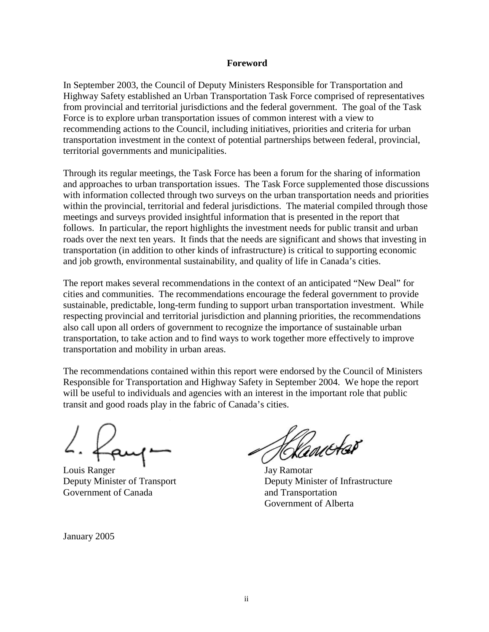### **Foreword**

In September 2003, the Council of Deputy Ministers Responsible for Transportation and Highway Safety established an Urban Transportation Task Force comprised of representatives from provincial and territorial jurisdictions and the federal government. The goal of the Task Force is to explore urban transportation issues of common interest with a view to recommending actions to the Council, including initiatives, priorities and criteria for urban transportation investment in the context of potential partnerships between federal, provincial, territorial governments and municipalities.

Through its regular meetings, the Task Force has been a forum for the sharing of information and approaches to urban transportation issues. The Task Force supplemented those discussions with information collected through two surveys on the urban transportation needs and priorities within the provincial, territorial and federal jurisdictions. The material compiled through those meetings and surveys provided insightful information that is presented in the report that follows. In particular, the report highlights the investment needs for public transit and urban roads over the next ten years. It finds that the needs are significant and shows that investing in transportation (in addition to other kinds of infrastructure) is critical to supporting economic and job growth, environmental sustainability, and quality of life in Canada's cities.

The report makes several recommendations in the context of an anticipated "New Deal" for cities and communities. The recommendations encourage the federal government to provide sustainable, predictable, long-term funding to support urban transportation investment. While respecting provincial and territorial jurisdiction and planning priorities, the recommendations also call upon all orders of government to recognize the importance of sustainable urban transportation, to take action and to find ways to work together more effectively to improve transportation and mobility in urban areas.

The recommendations contained within this report were endorsed by the Council of Ministers Responsible for Transportation and Highway Safety in September 2004. We hope the report will be useful to individuals and agencies with an interest in the important role that public transit and good roads play in the fabric of Canada's cities.

Louis Ranger Jay Ramotar Government of Canada and Transportation

Hancter

Deputy Minister of Transport Deputy Minister of Infrastructure Government of Alberta

January 2005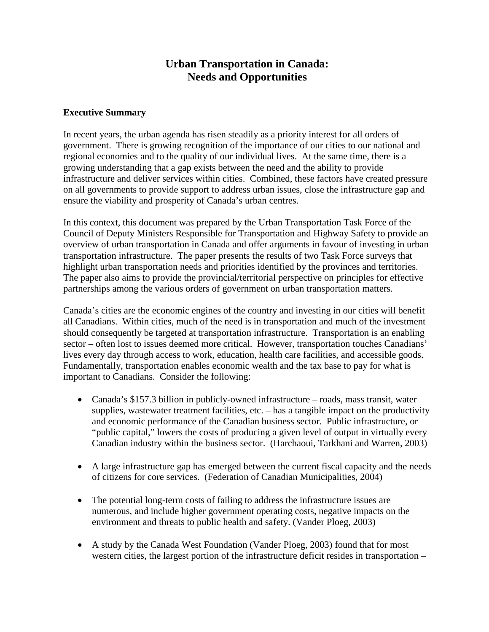# **Urban Transportation in Canada: Needs and Opportunities**

## **Executive Summary**

In recent years, the urban agenda has risen steadily as a priority interest for all orders of government. There is growing recognition of the importance of our cities to our national and regional economies and to the quality of our individual lives. At the same time, there is a growing understanding that a gap exists between the need and the ability to provide infrastructure and deliver services within cities. Combined, these factors have created pressure on all governments to provide support to address urban issues, close the infrastructure gap and ensure the viability and prosperity of Canada's urban centres.

In this context, this document was prepared by the Urban Transportation Task Force of the Council of Deputy Ministers Responsible for Transportation and Highway Safety to provide an overview of urban transportation in Canada and offer arguments in favour of investing in urban transportation infrastructure. The paper presents the results of two Task Force surveys that highlight urban transportation needs and priorities identified by the provinces and territories. The paper also aims to provide the provincial/territorial perspective on principles for effective partnerships among the various orders of government on urban transportation matters.

Canada's cities are the economic engines of the country and investing in our cities will benefit all Canadians. Within cities, much of the need is in transportation and much of the investment should consequently be targeted at transportation infrastructure. Transportation is an enabling sector – often lost to issues deemed more critical. However, transportation touches Canadians' lives every day through access to work, education, health care facilities, and accessible goods. Fundamentally, transportation enables economic wealth and the tax base to pay for what is important to Canadians. Consider the following:

- Canada's \$157.3 billion in publicly-owned infrastructure roads, mass transit, water supplies, wastewater treatment facilities, etc. – has a tangible impact on the productivity and economic performance of the Canadian business sector. Public infrastructure, or "public capital," lowers the costs of producing a given level of output in virtually every Canadian industry within the business sector. (Harchaoui, Tarkhani and Warren, 2003)
- A large infrastructure gap has emerged between the current fiscal capacity and the needs of citizens for core services. (Federation of Canadian Municipalities, 2004)
- The potential long-term costs of failing to address the infrastructure issues are numerous, and include higher government operating costs, negative impacts on the environment and threats to public health and safety. (Vander Ploeg, 2003)
- A study by the Canada West Foundation (Vander Ploeg, 2003) found that for most western cities, the largest portion of the infrastructure deficit resides in transportation –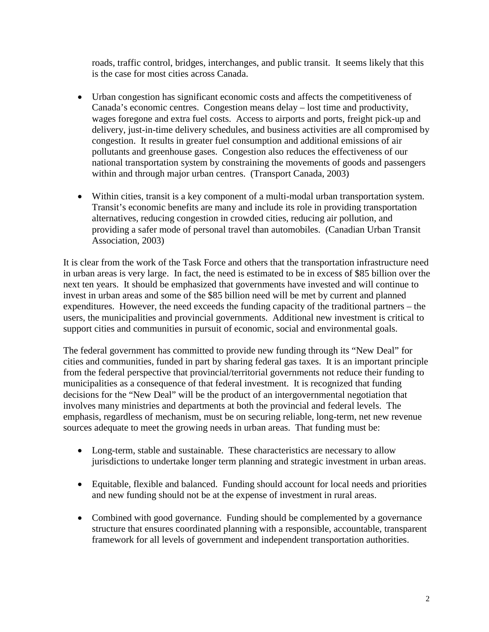roads, traffic control, bridges, interchanges, and public transit. It seems likely that this is the case for most cities across Canada.

- Urban congestion has significant economic costs and affects the competitiveness of Canada's economic centres. Congestion means delay – lost time and productivity, wages foregone and extra fuel costs. Access to airports and ports, freight pick-up and delivery, just-in-time delivery schedules, and business activities are all compromised by congestion. It results in greater fuel consumption and additional emissions of air pollutants and greenhouse gases. Congestion also reduces the effectiveness of our national transportation system by constraining the movements of goods and passengers within and through major urban centres. (Transport Canada, 2003)
- Within cities, transit is a key component of a multi-modal urban transportation system. Transit's economic benefits are many and include its role in providing transportation alternatives, reducing congestion in crowded cities, reducing air pollution, and providing a safer mode of personal travel than automobiles. (Canadian Urban Transit Association, 2003)

It is clear from the work of the Task Force and others that the transportation infrastructure need in urban areas is very large. In fact, the need is estimated to be in excess of \$85 billion over the next ten years. It should be emphasized that governments have invested and will continue to invest in urban areas and some of the \$85 billion need will be met by current and planned expenditures. However, the need exceeds the funding capacity of the traditional partners – the users, the municipalities and provincial governments. Additional new investment is critical to support cities and communities in pursuit of economic, social and environmental goals.

The federal government has committed to provide new funding through its "New Deal" for cities and communities, funded in part by sharing federal gas taxes. It is an important principle from the federal perspective that provincial/territorial governments not reduce their funding to municipalities as a consequence of that federal investment. It is recognized that funding decisions for the "New Deal" will be the product of an intergovernmental negotiation that involves many ministries and departments at both the provincial and federal levels. The emphasis, regardless of mechanism, must be on securing reliable, long-term, net new revenue sources adequate to meet the growing needs in urban areas. That funding must be:

- Long-term, stable and sustainable. These characteristics are necessary to allow jurisdictions to undertake longer term planning and strategic investment in urban areas.
- Equitable, flexible and balanced. Funding should account for local needs and priorities and new funding should not be at the expense of investment in rural areas.
- Combined with good governance. Funding should be complemented by a governance structure that ensures coordinated planning with a responsible, accountable, transparent framework for all levels of government and independent transportation authorities.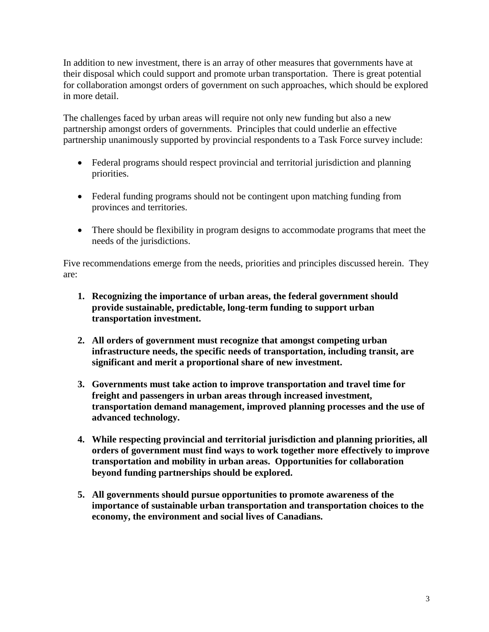In addition to new investment, there is an array of other measures that governments have at their disposal which could support and promote urban transportation. There is great potential for collaboration amongst orders of government on such approaches, which should be explored in more detail.

The challenges faced by urban areas will require not only new funding but also a new partnership amongst orders of governments. Principles that could underlie an effective partnership unanimously supported by provincial respondents to a Task Force survey include:

- Federal programs should respect provincial and territorial jurisdiction and planning priorities.
- Federal funding programs should not be contingent upon matching funding from provinces and territories.
- There should be flexibility in program designs to accommodate programs that meet the needs of the jurisdictions.

Five recommendations emerge from the needs, priorities and principles discussed herein. They are:

- **1. Recognizing the importance of urban areas, the federal government should provide sustainable, predictable, long-term funding to support urban transportation investment.**
- **2. All orders of government must recognize that amongst competing urban infrastructure needs, the specific needs of transportation, including transit, are significant and merit a proportional share of new investment.**
- **3. Governments must take action to improve transportation and travel time for freight and passengers in urban areas through increased investment, transportation demand management, improved planning processes and the use of advanced technology.**
- **4. While respecting provincial and territorial jurisdiction and planning priorities, all orders of government must find ways to work together more effectively to improve transportation and mobility in urban areas. Opportunities for collaboration beyond funding partnerships should be explored.**
- **5. All governments should pursue opportunities to promote awareness of the importance of sustainable urban transportation and transportation choices to the economy, the environment and social lives of Canadians.**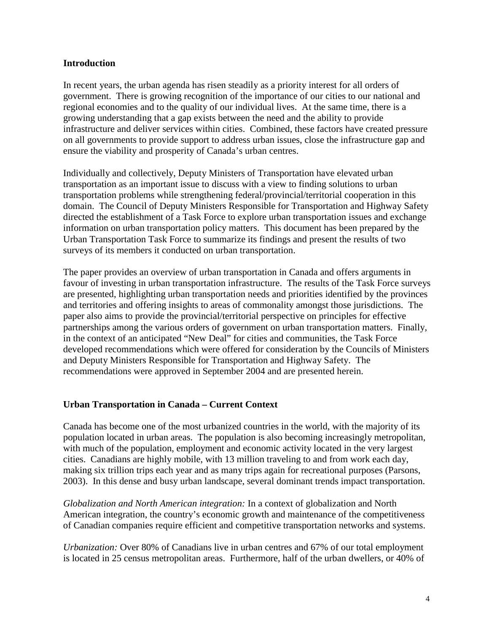## **Introduction**

In recent years, the urban agenda has risen steadily as a priority interest for all orders of government. There is growing recognition of the importance of our cities to our national and regional economies and to the quality of our individual lives. At the same time, there is a growing understanding that a gap exists between the need and the ability to provide infrastructure and deliver services within cities. Combined, these factors have created pressure on all governments to provide support to address urban issues, close the infrastructure gap and ensure the viability and prosperity of Canada's urban centres.

Individually and collectively, Deputy Ministers of Transportation have elevated urban transportation as an important issue to discuss with a view to finding solutions to urban transportation problems while strengthening federal/provincial/territorial cooperation in this domain. The Council of Deputy Ministers Responsible for Transportation and Highway Safety directed the establishment of a Task Force to explore urban transportation issues and exchange information on urban transportation policy matters. This document has been prepared by the Urban Transportation Task Force to summarize its findings and present the results of two surveys of its members it conducted on urban transportation.

The paper provides an overview of urban transportation in Canada and offers arguments in favour of investing in urban transportation infrastructure. The results of the Task Force surveys are presented, highlighting urban transportation needs and priorities identified by the provinces and territories and offering insights to areas of commonality amongst those jurisdictions. The paper also aims to provide the provincial/territorial perspective on principles for effective partnerships among the various orders of government on urban transportation matters. Finally, in the context of an anticipated "New Deal" for cities and communities, the Task Force developed recommendations which were offered for consideration by the Councils of Ministers and Deputy Ministers Responsible for Transportation and Highway Safety. The recommendations were approved in September 2004 and are presented herein.

# **Urban Transportation in Canada – Current Context**

Canada has become one of the most urbanized countries in the world, with the majority of its population located in urban areas. The population is also becoming increasingly metropolitan, with much of the population, employment and economic activity located in the very largest cities. Canadians are highly mobile, with 13 million traveling to and from work each day, making six trillion trips each year and as many trips again for recreational purposes (Parsons, 2003). In this dense and busy urban landscape, several dominant trends impact transportation.

*Globalization and North American integration:* In a context of globalization and North American integration, the country's economic growth and maintenance of the competitiveness of Canadian companies require efficient and competitive transportation networks and systems.

*Urbanization:* Over 80% of Canadians live in urban centres and 67% of our total employment is located in 25 census metropolitan areas. Furthermore, half of the urban dwellers, or 40% of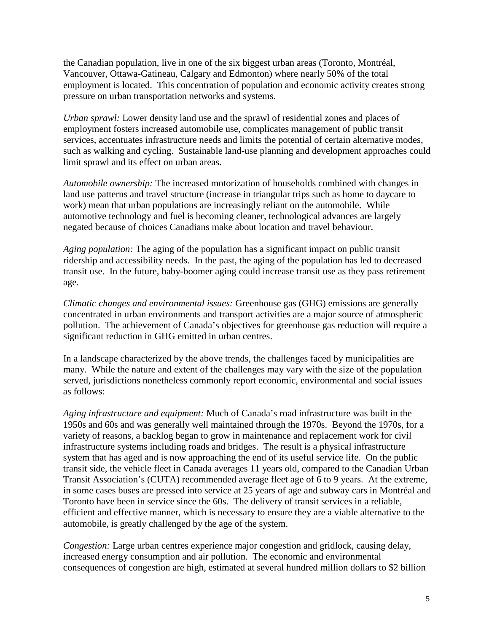the Canadian population, live in one of the six biggest urban areas (Toronto, Montréal, Vancouver, Ottawa-Gatineau, Calgary and Edmonton) where nearly 50% of the total employment is located. This concentration of population and economic activity creates strong pressure on urban transportation networks and systems.

*Urban sprawl:* Lower density land use and the sprawl of residential zones and places of employment fosters increased automobile use, complicates management of public transit services, accentuates infrastructure needs and limits the potential of certain alternative modes, such as walking and cycling. Sustainable land-use planning and development approaches could limit sprawl and its effect on urban areas.

*Automobile ownership:* The increased motorization of households combined with changes in land use patterns and travel structure (increase in triangular trips such as home to daycare to work) mean that urban populations are increasingly reliant on the automobile. While automotive technology and fuel is becoming cleaner, technological advances are largely negated because of choices Canadians make about location and travel behaviour.

*Aging population:* The aging of the population has a significant impact on public transit ridership and accessibility needs. In the past, the aging of the population has led to decreased transit use. In the future, baby-boomer aging could increase transit use as they pass retirement age.

*Climatic changes and environmental issues:* Greenhouse gas (GHG) emissions are generally concentrated in urban environments and transport activities are a major source of atmospheric pollution. The achievement of Canada's objectives for greenhouse gas reduction will require a significant reduction in GHG emitted in urban centres.

In a landscape characterized by the above trends, the challenges faced by municipalities are many. While the nature and extent of the challenges may vary with the size of the population served, jurisdictions nonetheless commonly report economic, environmental and social issues as follows:

*Aging infrastructure and equipment:* Much of Canada's road infrastructure was built in the 1950s and 60s and was generally well maintained through the 1970s. Beyond the 1970s, for a variety of reasons, a backlog began to grow in maintenance and replacement work for civil infrastructure systems including roads and bridges. The result is a physical infrastructure system that has aged and is now approaching the end of its useful service life. On the public transit side, the vehicle fleet in Canada averages 11 years old, compared to the Canadian Urban Transit Association's (CUTA) recommended average fleet age of 6 to 9 years. At the extreme, in some cases buses are pressed into service at 25 years of age and subway cars in Montréal and Toronto have been in service since the 60s. The delivery of transit services in a reliable, efficient and effective manner, which is necessary to ensure they are a viable alternative to the automobile, is greatly challenged by the age of the system.

*Congestion:* Large urban centres experience major congestion and gridlock, causing delay, increased energy consumption and air pollution. The economic and environmental consequences of congestion are high, estimated at several hundred million dollars to \$2 billion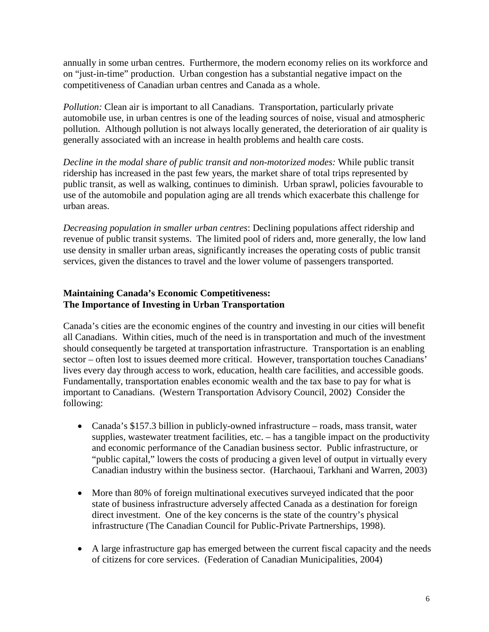annually in some urban centres. Furthermore, the modern economy relies on its workforce and on "just-in-time" production. Urban congestion has a substantial negative impact on the competitiveness of Canadian urban centres and Canada as a whole.

*Pollution:* Clean air is important to all Canadians. Transportation, particularly private automobile use, in urban centres is one of the leading sources of noise, visual and atmospheric pollution. Although pollution is not always locally generated, the deterioration of air quality is generally associated with an increase in health problems and health care costs.

*Decline in the modal share of public transit and non-motorized modes:* While public transit ridership has increased in the past few years, the market share of total trips represented by public transit, as well as walking, continues to diminish. Urban sprawl, policies favourable to use of the automobile and population aging are all trends which exacerbate this challenge for urban areas.

*Decreasing population in smaller urban centres*: Declining populations affect ridership and revenue of public transit systems. The limited pool of riders and, more generally, the low land use density in smaller urban areas, significantly increases the operating costs of public transit services, given the distances to travel and the lower volume of passengers transported.

# **Maintaining Canada's Economic Competitiveness: The Importance of Investing in Urban Transportation**

Canada's cities are the economic engines of the country and investing in our cities will benefit all Canadians. Within cities, much of the need is in transportation and much of the investment should consequently be targeted at transportation infrastructure. Transportation is an enabling sector – often lost to issues deemed more critical. However, transportation touches Canadians' lives every day through access to work, education, health care facilities, and accessible goods. Fundamentally, transportation enables economic wealth and the tax base to pay for what is important to Canadians. (Western Transportation Advisory Council, 2002) Consider the following:

- Canada's \$157.3 billion in publicly-owned infrastructure roads, mass transit, water supplies, wastewater treatment facilities, etc. – has a tangible impact on the productivity and economic performance of the Canadian business sector. Public infrastructure, or "public capital," lowers the costs of producing a given level of output in virtually every Canadian industry within the business sector. (Harchaoui, Tarkhani and Warren, 2003)
- More than 80% of foreign multinational executives surveyed indicated that the poor state of business infrastructure adversely affected Canada as a destination for foreign direct investment. One of the key concerns is the state of the country's physical infrastructure (The Canadian Council for Public-Private Partnerships, 1998).
- A large infrastructure gap has emerged between the current fiscal capacity and the needs of citizens for core services. (Federation of Canadian Municipalities, 2004)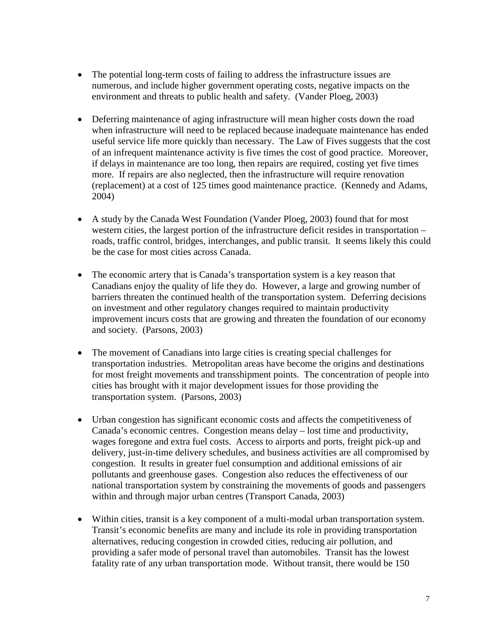- The potential long-term costs of failing to address the infrastructure issues are numerous, and include higher government operating costs, negative impacts on the environment and threats to public health and safety. (Vander Ploeg, 2003)
- Deferring maintenance of aging infrastructure will mean higher costs down the road when infrastructure will need to be replaced because inadequate maintenance has ended useful service life more quickly than necessary. The Law of Fives suggests that the cost of an infrequent maintenance activity is five times the cost of good practice. Moreover, if delays in maintenance are too long, then repairs are required, costing yet five times more. If repairs are also neglected, then the infrastructure will require renovation (replacement) at a cost of 125 times good maintenance practice. (Kennedy and Adams, 2004)
- A study by the Canada West Foundation (Vander Ploeg, 2003) found that for most western cities, the largest portion of the infrastructure deficit resides in transportation – roads, traffic control, bridges, interchanges, and public transit. It seems likely this could be the case for most cities across Canada.
- The economic artery that is Canada's transportation system is a key reason that Canadians enjoy the quality of life they do. However, a large and growing number of barriers threaten the continued health of the transportation system. Deferring decisions on investment and other regulatory changes required to maintain productivity improvement incurs costs that are growing and threaten the foundation of our economy and society. (Parsons, 2003)
- The movement of Canadians into large cities is creating special challenges for transportation industries. Metropolitan areas have become the origins and destinations for most freight movements and transshipment points. The concentration of people into cities has brought with it major development issues for those providing the transportation system. (Parsons, 2003)
- Urban congestion has significant economic costs and affects the competitiveness of Canada's economic centres. Congestion means delay – lost time and productivity, wages foregone and extra fuel costs. Access to airports and ports, freight pick-up and delivery, just-in-time delivery schedules, and business activities are all compromised by congestion. It results in greater fuel consumption and additional emissions of air pollutants and greenhouse gases. Congestion also reduces the effectiveness of our national transportation system by constraining the movements of goods and passengers within and through major urban centres (Transport Canada, 2003)
- Within cities, transit is a key component of a multi-modal urban transportation system. Transit's economic benefits are many and include its role in providing transportation alternatives, reducing congestion in crowded cities, reducing air pollution, and providing a safer mode of personal travel than automobiles. Transit has the lowest fatality rate of any urban transportation mode. Without transit, there would be 150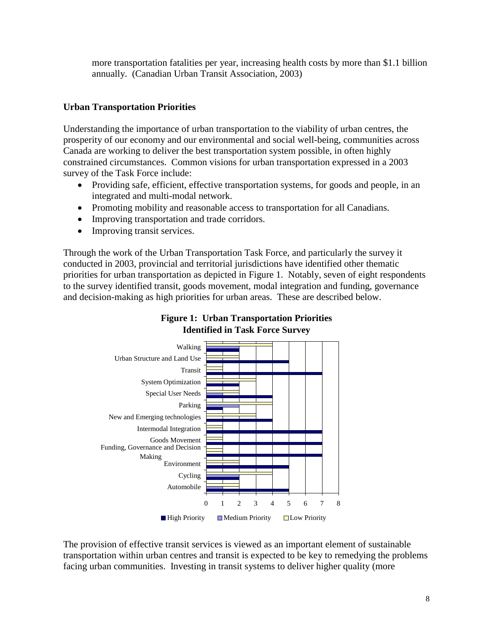more transportation fatalities per year, increasing health costs by more than \$1.1 billion annually. (Canadian Urban Transit Association, 2003)

# **Urban Transportation Priorities**

Understanding the importance of urban transportation to the viability of urban centres, the prosperity of our economy and our environmental and social well-being, communities across Canada are working to deliver the best transportation system possible, in often highly constrained circumstances. Common visions for urban transportation expressed in a 2003 survey of the Task Force include:

- Providing safe, efficient, effective transportation systems, for goods and people, in an integrated and multi-modal network.
- Promoting mobility and reasonable access to transportation for all Canadians.
- Improving transportation and trade corridors.
- Improving transit services.

Through the work of the Urban Transportation Task Force, and particularly the survey it conducted in 2003, provincial and territorial jurisdictions have identified other thematic priorities for urban transportation as depicted in Figure 1. Notably, seven of eight respondents to the survey identified transit, goods movement, modal integration and funding, governance and decision-making as high priorities for urban areas. These are described below.



# **Figure 1: Urban Transportation Priorities Identified in Task Force Survey**

The provision of effective transit services is viewed as an important element of sustainable transportation within urban centres and transit is expected to be key to remedying the problems facing urban communities. Investing in transit systems to deliver higher quality (more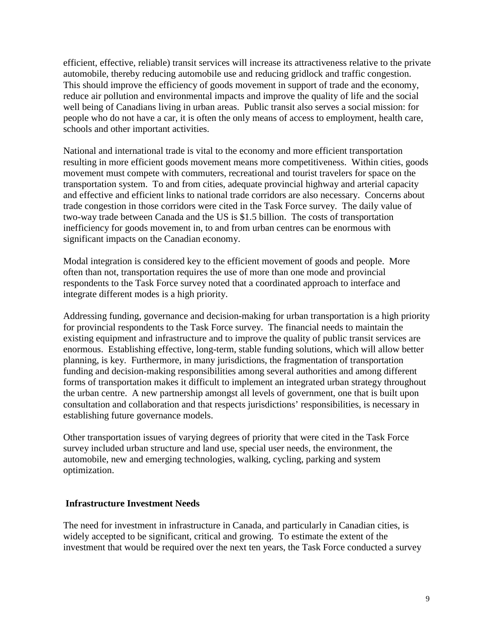efficient, effective, reliable) transit services will increase its attractiveness relative to the private automobile, thereby reducing automobile use and reducing gridlock and traffic congestion. This should improve the efficiency of goods movement in support of trade and the economy, reduce air pollution and environmental impacts and improve the quality of life and the social well being of Canadians living in urban areas. Public transit also serves a social mission: for people who do not have a car, it is often the only means of access to employment, health care, schools and other important activities.

National and international trade is vital to the economy and more efficient transportation resulting in more efficient goods movement means more competitiveness. Within cities, goods movement must compete with commuters, recreational and tourist travelers for space on the transportation system. To and from cities, adequate provincial highway and arterial capacity and effective and efficient links to national trade corridors are also necessary. Concerns about trade congestion in those corridors were cited in the Task Force survey. The daily value of two-way trade between Canada and the US is \$1.5 billion. The costs of transportation inefficiency for goods movement in, to and from urban centres can be enormous with significant impacts on the Canadian economy.

Modal integration is considered key to the efficient movement of goods and people. More often than not, transportation requires the use of more than one mode and provincial respondents to the Task Force survey noted that a coordinated approach to interface and integrate different modes is a high priority.

Addressing funding, governance and decision-making for urban transportation is a high priority for provincial respondents to the Task Force survey. The financial needs to maintain the existing equipment and infrastructure and to improve the quality of public transit services are enormous. Establishing effective, long-term, stable funding solutions, which will allow better planning, is key. Furthermore, in many jurisdictions, the fragmentation of transportation funding and decision-making responsibilities among several authorities and among different forms of transportation makes it difficult to implement an integrated urban strategy throughout the urban centre. A new partnership amongst all levels of government, one that is built upon consultation and collaboration and that respects jurisdictions' responsibilities, is necessary in establishing future governance models.

Other transportation issues of varying degrees of priority that were cited in the Task Force survey included urban structure and land use, special user needs, the environment, the automobile, new and emerging technologies, walking, cycling, parking and system optimization.

## **Infrastructure Investment Needs**

The need for investment in infrastructure in Canada, and particularly in Canadian cities, is widely accepted to be significant, critical and growing. To estimate the extent of the investment that would be required over the next ten years, the Task Force conducted a survey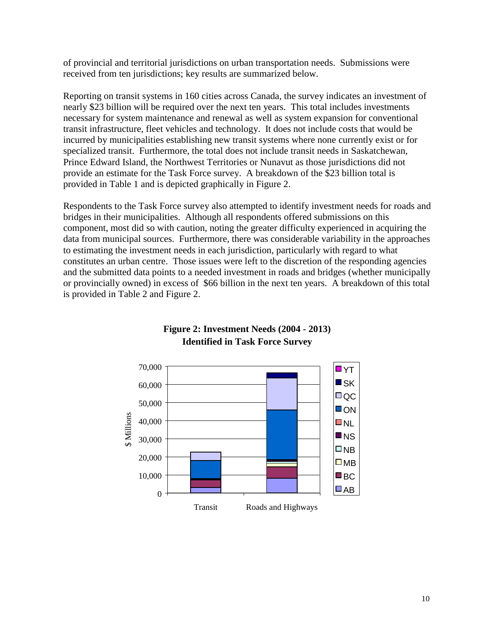of provincial and territorial jurisdictions on urban transportation needs. Submissions were received from ten jurisdictions; key results are summarized below.

Reporting on transit systems in 160 cities across Canada, the survey indicates an investment of nearly \$23 billion will be required over the next ten years. This total includes investments necessary for system maintenance and renewal as well as system expansion for conventional transit infrastructure, fleet vehicles and technology. It does not include costs that would be incurred by municipalities establishing new transit systems where none currently exist or for specialized transit. Furthermore, the total does not include transit needs in Saskatchewan, Prince Edward Island, the Northwest Territories or Nunavut as those jurisdictions did not provide an estimate for the Task Force survey. A breakdown of the \$23 billion total is provided in Table 1 and is depicted graphically in Figure 2.

Respondents to the Task Force survey also attempted to identify investment needs for roads and bridges in their municipalities. Although all respondents offered submissions on this component, most did so with caution, noting the greater difficulty experienced in acquiring the data from municipal sources. Furthermore, there was considerable variability in the approaches to estimating the investment needs in each jurisdiction, particularly with regard to what constitutes an urban centre. Those issues were left to the discretion of the responding agencies and the submitted data points to a needed investment in roads and bridges (whether municipally or provincially owned) in excess of \$66 billion in the next ten years. A breakdown of this total is provided in Table 2 and Figure 2.



# **Figure 2: Investment Needs (2004 - 2013) Identified in Task Force Survey**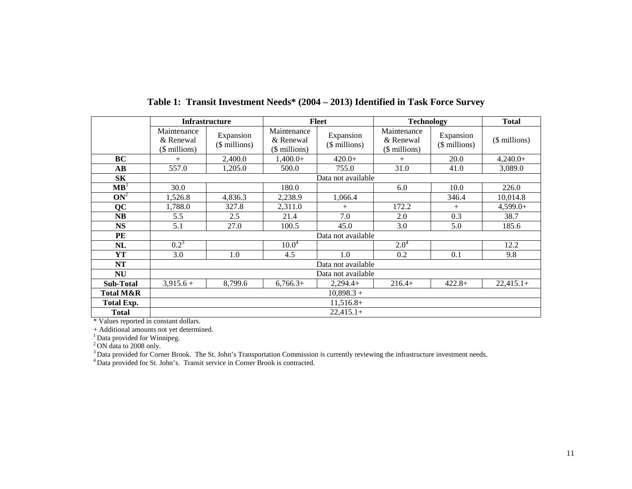|                   |                                           | <b>Infrastructure</b>      |                                           | <b>Fleet</b>               | <b>Technology</b>                         |                            | <b>Total</b>  |
|-------------------|-------------------------------------------|----------------------------|-------------------------------------------|----------------------------|-------------------------------------------|----------------------------|---------------|
|                   | Maintenance<br>& Renewal<br>(\$ millions) | Expansion<br>(\$ millions) | Maintenance<br>& Renewal<br>(\$ millions) | Expansion<br>(\$ millions) | Maintenance<br>& Renewal<br>(\$ millions) | Expansion<br>(\$ millions) | (\$ millions) |
| BC                | $^{+}$                                    | 2,400.0                    | $1,400.0+$                                | $420.0+$                   | $+$                                       | 20.0                       | $4,240.0+$    |
| AВ                | 557.0                                     | 1,205.0                    | 500.0                                     | 755.0                      | 31.0                                      | 41.0                       | 3,089.0       |
| <b>SK</b>         | Data not available                        |                            |                                           |                            |                                           |                            |               |
| MB <sup>1</sup>   | 30.0                                      |                            | 180.0                                     |                            | 6.0                                       | 10.0                       | 226.0         |
| $ON^2$            | 1,526.8                                   | 4,836.3                    | 2,238.9                                   | 1,066.4                    |                                           | 346.4                      | 10,014.8      |
| QC                | 1,788.0                                   | 327.8                      | 2,311.0                                   | $+$                        | 172.2                                     | $^{+}$                     | $4,599.0+$    |
| <b>NB</b>         | 5.5                                       | 2.5                        | 21.4                                      | 7.0                        | 2.0                                       | 0.3                        | 38.7          |
| <b>NS</b>         | 5.1                                       | 27.0                       | 100.5                                     | 45.0                       | 3.0                                       | 5.0                        | 185.6         |
| PE                |                                           | Data not available         |                                           |                            |                                           |                            |               |
| NL                | $0.2^3$                                   |                            | $10.0^4$                                  |                            | $2.0^4$                                   |                            | 12.2          |
| YT                | 3.0                                       | 1.0                        | 4.5                                       | 1.0                        | 0.2                                       | 0.1                        | 9.8           |
| <b>NT</b>         | Data not available                        |                            |                                           |                            |                                           |                            |               |
| <b>NU</b>         | Data not available                        |                            |                                           |                            |                                           |                            |               |
| <b>Sub-Total</b>  | $3,915.6+$                                | 8,799.6                    | $6,766.3+$                                | $2,294.4+$                 | $216.4+$                                  | $422.8+$                   | $22,415.1+$   |
| Total M&R         | $10,898.3 +$                              |                            |                                           |                            |                                           |                            |               |
| <b>Total Exp.</b> | $11,516.8+$                               |                            |                                           |                            |                                           |                            |               |
| Total             | $22,415.1+$                               |                            |                                           |                            |                                           |                            |               |

**Table 1: Transit Investment Needs\* (2004 – 2013) Identified in Task Force Survey** 

\* Values reported in constant dollars.

+ Additional amounts not yet determined.

<sup>1</sup> Data provided for Winnipeg.

 $2$  ON data to 2008 only.

<sup>3</sup> Data provided for Corner Brook. The St. John's Transportation Commission is currently reviewing the infrastructure investment needs.

<sup>4</sup> Data provided for St. John's. Transit service in Corner Brook is contracted.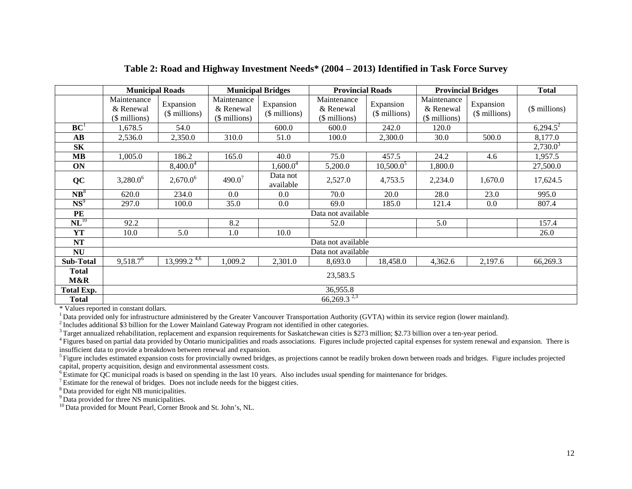|                          | <b>Municipal Roads</b>                    |                             | <b>Municipal Bridges</b>                  |                             | <b>Provincial Roads</b>                   |                            | <b>Provincial Bridges</b>                 |                            | <b>Total</b>  |
|--------------------------|-------------------------------------------|-----------------------------|-------------------------------------------|-----------------------------|-------------------------------------------|----------------------------|-------------------------------------------|----------------------------|---------------|
|                          | Maintenance<br>& Renewal<br>(\$ millions) | Expansion<br>$($$ millions) | Maintenance<br>& Renewal<br>(\$ millions) | Expansion<br>$($$ millions) | Maintenance<br>& Renewal<br>(\$ millions) | Expansion<br>(\$ millions) | Maintenance<br>& Renewal<br>(\$ millions) | Expansion<br>$$$ millions) | (\$ millions) |
| $\mathbf{B}\mathbf{C}^1$ | 1,678.5                                   | 54.0                        |                                           | 600.0                       | 600.0                                     | 242.0                      | 120.0                                     |                            | $6,294.5^2$   |
| $\mathbf{A}\mathbf{B}$   | 2,536.0                                   | 2,350.0                     | 310.0                                     | 51.0                        | 100.0                                     | 2,300.0                    | 30.0                                      | 500.0                      | 8,177.0       |
| <b>SK</b>                |                                           |                             |                                           |                             |                                           |                            | $2,730.0^3$                               |                            |               |
| $\bf MB$                 | 1,005.0                                   | 186.2                       | 165.0                                     | 40.0                        | 75.0                                      | 457.5                      | 24.2                                      | 4.6                        | 1,957.5       |
| ON                       |                                           | $8,400.0^4$                 |                                           | $1,600.0^4$                 | 5,200.0                                   | $10,500.0^5$               | 1,800.0                                   |                            | 27,500.0      |
| <b>QC</b>                | $3,280.0^6$                               | $2,670.0^6$                 | $490.0^{7}$                               | Data not<br>available       | 2,527.0                                   | 4,753.5                    | 2,234.0                                   | 1,670.0                    | 17,624.5      |
| $\overline{\text{NB}^8}$ | 620.0                                     | 234.0                       | 0.0                                       | 0.0                         | 70.0                                      | 20.0                       | 28.0                                      | 23.0                       | 995.0         |
| $NS^9$                   | 297.0                                     | 100.0                       | 35.0                                      | 0.0                         | 69.0                                      | 185.0                      | 121.4                                     | 0.0                        | 807.4         |
| PE                       |                                           | Data not available          |                                           |                             |                                           |                            |                                           |                            |               |
| $\mathbf{NL}^{10}$       | 92.2                                      |                             | 8.2                                       |                             | 52.0                                      |                            | 5.0                                       |                            | 157.4         |
| <b>YT</b>                | 10.0                                      | 5.0                         | 1.0                                       | 10.0                        |                                           |                            |                                           |                            | 26.0          |
| <b>NT</b>                | Data not available                        |                             |                                           |                             |                                           |                            |                                           |                            |               |
| <b>NU</b>                | Data not available                        |                             |                                           |                             |                                           |                            |                                           |                            |               |
| <b>Sub-Total</b>         | $9,518.7^6$                               | $13,999.2^{4,6}$            | 1,009.2                                   | 2,301.0                     | 8,693.0                                   | 18,458.0                   | 4,362.6                                   | 2,197.6                    | 66,269.3      |
| <b>Total</b><br>M&R      | 23,583.5                                  |                             |                                           |                             |                                           |                            |                                           |                            |               |
| <b>Total Exp.</b>        | 36,955.8                                  |                             |                                           |                             |                                           |                            |                                           |                            |               |
| <b>Total</b>             | $66,269.3^{2,3}$                          |                             |                                           |                             |                                           |                            |                                           |                            |               |

### **Table 2: Road and Highway Investment Needs\* (2004 – 2013) Identified in Task Force Survey**

\* Values reported in constant dollars.

 $1$  Data provided only for infrastructure administered by the Greater Vancouver Transportation Authority (GVTA) within its service region (lower mainland).

2 Includes additional \$3 billion for the Lower Mainland Gateway Program not identified in other categories.

<sup>3</sup> Target annualized rehabilitation, replacement and expansion requirements for Saskatchewan cities is \$273 million; \$2.73 billion over a ten-year period.

<sup>4</sup> Figures based on partial data provided by Ontario municipalities and roads associations. Figures include projected capital expenses for system renewal and expansion. There is insufficient data to provide a breakdown between renewal and expansion.

<sup>5</sup> Figure includes estimated expansion costs for provincially owned bridges, as projections cannot be readily broken down between roads and bridges. Figure includes projected capital, property acquisition, design and environmental assessment costs.

<sup>6</sup> Estimate for QC municipal roads is based on spending in the last 10 years. Also includes usual spending for maintenance for bridges.

 $\frac{7}{1}$  Estimate for the renewal of bridges. Does not include needs for the biggest cities.

8 Data provided for eight NB municipalities.

<sup>9</sup> Data provided for three NS municipalities.

<sup>10</sup> Data provided for Mount Pearl, Corner Brook and St. John's, NL.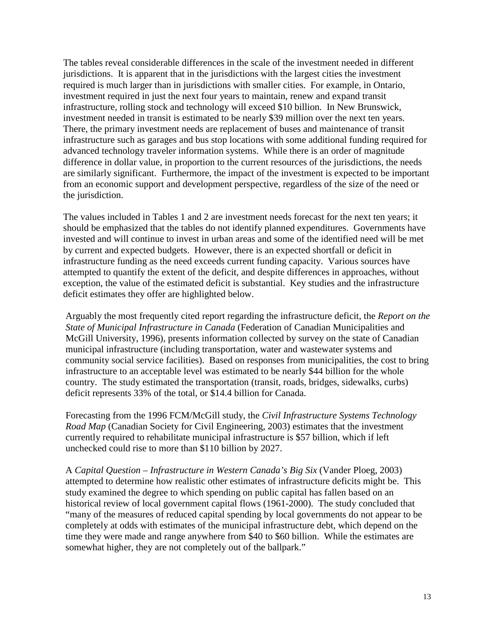The tables reveal considerable differences in the scale of the investment needed in different jurisdictions. It is apparent that in the jurisdictions with the largest cities the investment required is much larger than in jurisdictions with smaller cities. For example, in Ontario, investment required in just the next four years to maintain, renew and expand transit infrastructure, rolling stock and technology will exceed \$10 billion. In New Brunswick, investment needed in transit is estimated to be nearly \$39 million over the next ten years. There, the primary investment needs are replacement of buses and maintenance of transit infrastructure such as garages and bus stop locations with some additional funding required for advanced technology traveler information systems. While there is an order of magnitude difference in dollar value, in proportion to the current resources of the jurisdictions, the needs are similarly significant. Furthermore, the impact of the investment is expected to be important from an economic support and development perspective, regardless of the size of the need or the jurisdiction.

The values included in Tables 1 and 2 are investment needs forecast for the next ten years; it should be emphasized that the tables do not identify planned expenditures. Governments have invested and will continue to invest in urban areas and some of the identified need will be met by current and expected budgets. However, there is an expected shortfall or deficit in infrastructure funding as the need exceeds current funding capacity. Various sources have attempted to quantify the extent of the deficit, and despite differences in approaches, without exception, the value of the estimated deficit is substantial. Key studies and the infrastructure deficit estimates they offer are highlighted below.

Arguably the most frequently cited report regarding the infrastructure deficit, the *Report on the State of Municipal Infrastructure in Canada* (Federation of Canadian Municipalities and McGill University, 1996)*,* presents information collected by survey on the state of Canadian municipal infrastructure (including transportation, water and wastewater systems and community social service facilities). Based on responses from municipalities, the cost to bring infrastructure to an acceptable level was estimated to be nearly \$44 billion for the whole country. The study estimated the transportation (transit, roads, bridges, sidewalks, curbs) deficit represents 33% of the total, or \$14.4 billion for Canada.

Forecasting from the 1996 FCM/McGill study, the *Civil Infrastructure Systems Technology Road Map* (Canadian Society for Civil Engineering, 2003) estimates that the investment currently required to rehabilitate municipal infrastructure is \$57 billion, which if left unchecked could rise to more than \$110 billion by 2027.

A *Capital Question – Infrastructure in Western Canada's Big Six* (Vander Ploeg, 2003) attempted to determine how realistic other estimates of infrastructure deficits might be. This study examined the degree to which spending on public capital has fallen based on an historical review of local government capital flows (1961-2000). The study concluded that "many of the measures of reduced capital spending by local governments do not appear to be completely at odds with estimates of the municipal infrastructure debt, which depend on the time they were made and range anywhere from \$40 to \$60 billion. While the estimates are somewhat higher, they are not completely out of the ballpark."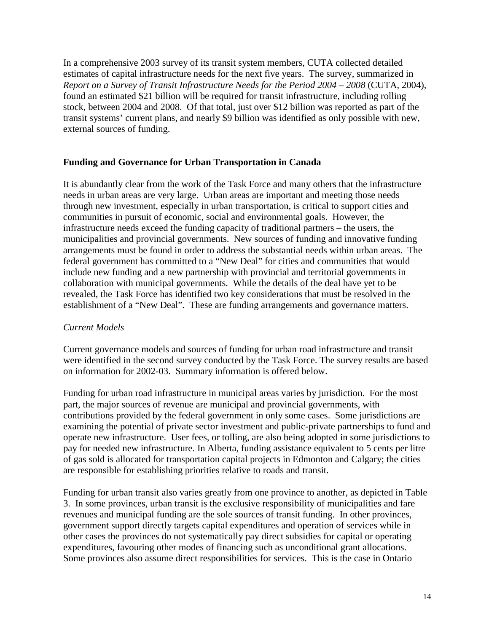In a comprehensive 2003 survey of its transit system members, CUTA collected detailed estimates of capital infrastructure needs for the next five years. The survey, summarized in *Report on a Survey of Transit Infrastructure Needs for the Period 2004 – 2008* (CUTA, 2004), found an estimated \$21 billion will be required for transit infrastructure, including rolling stock, between 2004 and 2008. Of that total, just over \$12 billion was reported as part of the transit systems' current plans, and nearly \$9 billion was identified as only possible with new, external sources of funding.

## **Funding and Governance for Urban Transportation in Canada**

It is abundantly clear from the work of the Task Force and many others that the infrastructure needs in urban areas are very large. Urban areas are important and meeting those needs through new investment, especially in urban transportation, is critical to support cities and communities in pursuit of economic, social and environmental goals. However, the infrastructure needs exceed the funding capacity of traditional partners – the users, the municipalities and provincial governments. New sources of funding and innovative funding arrangements must be found in order to address the substantial needs within urban areas. The federal government has committed to a "New Deal" for cities and communities that would include new funding and a new partnership with provincial and territorial governments in collaboration with municipal governments. While the details of the deal have yet to be revealed, the Task Force has identified two key considerations that must be resolved in the establishment of a "New Deal". These are funding arrangements and governance matters.

## *Current Models*

Current governance models and sources of funding for urban road infrastructure and transit were identified in the second survey conducted by the Task Force. The survey results are based on information for 2002-03. Summary information is offered below.

Funding for urban road infrastructure in municipal areas varies by jurisdiction. For the most part, the major sources of revenue are municipal and provincial governments, with contributions provided by the federal government in only some cases. Some jurisdictions are examining the potential of private sector investment and public-private partnerships to fund and operate new infrastructure. User fees, or tolling, are also being adopted in some jurisdictions to pay for needed new infrastructure. In Alberta, funding assistance equivalent to 5 cents per litre of gas sold is allocated for transportation capital projects in Edmonton and Calgary; the cities are responsible for establishing priorities relative to roads and transit.

Funding for urban transit also varies greatly from one province to another, as depicted in Table 3. In some provinces, urban transit is the exclusive responsibility of municipalities and fare revenues and municipal funding are the sole sources of transit funding. In other provinces, government support directly targets capital expenditures and operation of services while in other cases the provinces do not systematically pay direct subsidies for capital or operating expenditures, favouring other modes of financing such as unconditional grant allocations. Some provinces also assume direct responsibilities for services. This is the case in Ontario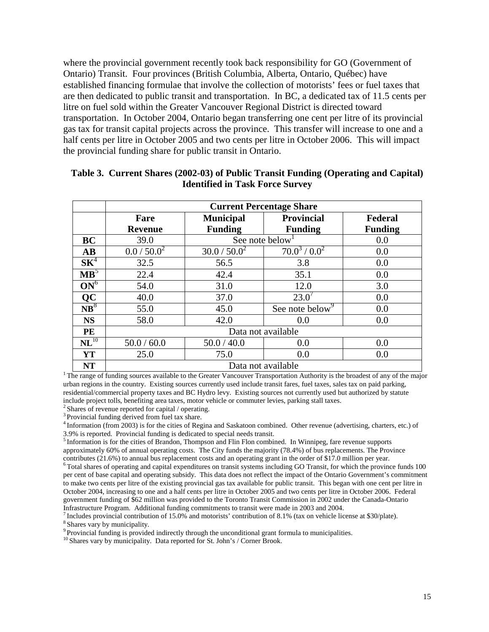where the provincial government recently took back responsibility for GO (Government of Ontario) Transit. Four provinces (British Columbia, Alberta, Ontario, Québec) have established financing formulae that involve the collection of motorists' fees or fuel taxes that are then dedicated to public transit and transportation. In BC, a dedicated tax of 11.5 cents per litre on fuel sold within the Greater Vancouver Regional District is directed toward transportation. In October 2004, Ontario began transferring one cent per litre of its provincial gas tax for transit capital projects across the province. This transfer will increase to one and a half cents per litre in October 2005 and two cents per litre in October 2006. This will impact the provincial funding share for public transit in Ontario.

|                    | <b>Current Percentage Share</b> |                  |                             |                |  |  |  |
|--------------------|---------------------------------|------------------|-----------------------------|----------------|--|--|--|
|                    | Fare                            | <b>Municipal</b> | <b>Provincial</b>           | Federal        |  |  |  |
|                    | <b>Revenue</b>                  | <b>Funding</b>   | <b>Funding</b>              | <b>Funding</b> |  |  |  |
| BC                 | 39.0                            | See note below   | 0.0                         |                |  |  |  |
| <b>AB</b>          | 0.0 / 50.0 <sup>2</sup>         | $30.0 / 50.0^2$  | $70.0^3 / 0.0^2$            | 0.0            |  |  |  |
| $SK^4$             | 32.5                            | 56.5             | 3.8                         | 0.0            |  |  |  |
| $\mathbf{MB}^5$    | 22.4                            | 42.4             | 35.1                        | 0.0            |  |  |  |
| $ON^6$             | 54.0                            | 31.0             | 12.0                        | 3.0            |  |  |  |
| QC                 | 40.0                            | 37.0             | 23.0'                       | 0.0            |  |  |  |
| $NB^8$             | 55.0                            | 45.0             | See note below <sup>9</sup> | 0.0            |  |  |  |
| <b>NS</b>          | 58.0                            | 42.0             | 0.0                         | 0.0            |  |  |  |
| PE                 | Data not available              |                  |                             |                |  |  |  |
| $\mathbf{NL}^{10}$ | 50.0 / 60.0                     | 50.0 / 40.0      | 0.0                         | 0.0            |  |  |  |
| <b>YT</b>          | 25.0                            | 75.0             | 0.0                         | 0.0            |  |  |  |
| <b>NT</b>          | Data not available              |                  |                             |                |  |  |  |

## **Table 3. Current Shares (2002-03) of Public Transit Funding (Operating and Capital) Identified in Task Force Survey**

<sup>1</sup> The range of funding sources available to the Greater Vancouver Transportation Authority is the broadest of any of the major urban regions in the country. Existing sources currently used include transit fares, fuel taxes, sales tax on paid parking, residential/commercial property taxes and BC Hydro levy. Existing sources not currently used but authorized by statute include project tolls, benefiting area taxes, motor vehicle or commuter levies, parking stall taxes.

 $2$  Shares of revenue reported for capital / operating.

<sup>3</sup> Provincial funding derived from fuel tax share.

<sup>4</sup> Information (from 2003) is for the cities of Regina and Saskatoon combined. Other revenue (advertising, charters, etc.) of 3.9% is reported. Provincial funding is dedicated to special needs transit.

5 Information is for the cities of Brandon, Thompson and Flin Flon combined. In Winnipeg, fare revenue supports approximately 60% of annual operating costs. The City funds the majority (78.4%) of bus replacements. The Province contributes (21.6%) to annual bus replacement costs and an operating grant in the order of \$17.0 million per year.

 $6$  Total shares of operating and capital expenditures on transit systems including GO Transit, for which the province funds 100 per cent of base capital and operating subsidy. This data does not reflect the impact of the Ontario Government's commitment to make two cents per litre of the existing provincial gas tax available for public transit. This began with one cent per litre in October 2004, increasing to one and a half cents per litre in October 2005 and two cents per litre in October 2006. Federal government funding of \$62 million was provided to the Toronto Transit Commission in 2002 under the Canada-Ontario Infrastructure Program. Additional funding commitments to transit were made in 2003 and 2004.

<sup>7</sup> Includes provincial contribution of 15.0% and motorists' contribution of 8.1% (tax on vehicle license at \$30/plate). <sup>8</sup> Shares vary by municipality.

<sup>9</sup> Provincial funding is provided indirectly through the unconditional grant formula to municipalities. <sup>10</sup> Shares vary by municipality. Data reported for St. John's / Corner Brook.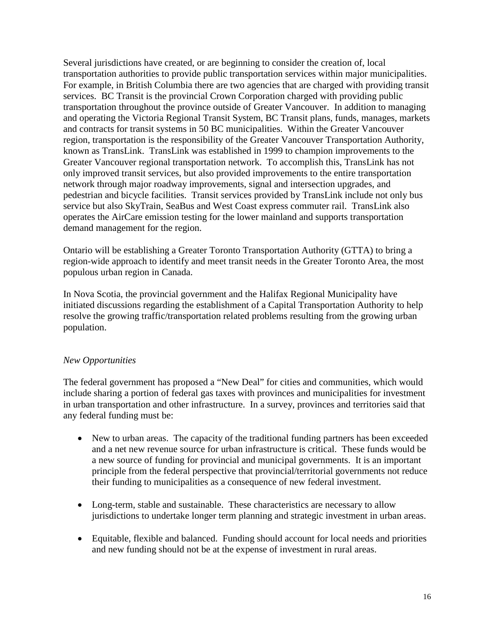Several jurisdictions have created, or are beginning to consider the creation of, local transportation authorities to provide public transportation services within major municipalities. For example, in British Columbia there are two agencies that are charged with providing transit services. BC Transit is the provincial Crown Corporation charged with providing public transportation throughout the province outside of Greater Vancouver. In addition to managing and operating the Victoria Regional Transit System, BC Transit plans, funds, manages, markets and contracts for transit systems in 50 BC municipalities. Within the Greater Vancouver region, transportation is the responsibility of the Greater Vancouver Transportation Authority, known as TransLink. TransLink was established in 1999 to champion improvements to the Greater Vancouver regional transportation network. To accomplish this, TransLink has not only improved transit services, but also provided improvements to the entire transportation network through major roadway improvements, signal and intersection upgrades, and pedestrian and bicycle facilities. Transit services provided by TransLink include not only bus service but also SkyTrain, SeaBus and West Coast express commuter rail. TransLink also operates the AirCare emission testing for the lower mainland and supports transportation demand management for the region.

Ontario will be establishing a Greater Toronto Transportation Authority (GTTA) to bring a region-wide approach to identify and meet transit needs in the Greater Toronto Area, the most populous urban region in Canada.

In Nova Scotia, the provincial government and the Halifax Regional Municipality have initiated discussions regarding the establishment of a Capital Transportation Authority to help resolve the growing traffic/transportation related problems resulting from the growing urban population.

## *New Opportunities*

The federal government has proposed a "New Deal" for cities and communities, which would include sharing a portion of federal gas taxes with provinces and municipalities for investment in urban transportation and other infrastructure. In a survey, provinces and territories said that any federal funding must be:

- New to urban areas. The capacity of the traditional funding partners has been exceeded and a net new revenue source for urban infrastructure is critical. These funds would be a new source of funding for provincial and municipal governments. It is an important principle from the federal perspective that provincial/territorial governments not reduce their funding to municipalities as a consequence of new federal investment.
- Long-term, stable and sustainable. These characteristics are necessary to allow jurisdictions to undertake longer term planning and strategic investment in urban areas.
- Equitable, flexible and balanced. Funding should account for local needs and priorities and new funding should not be at the expense of investment in rural areas.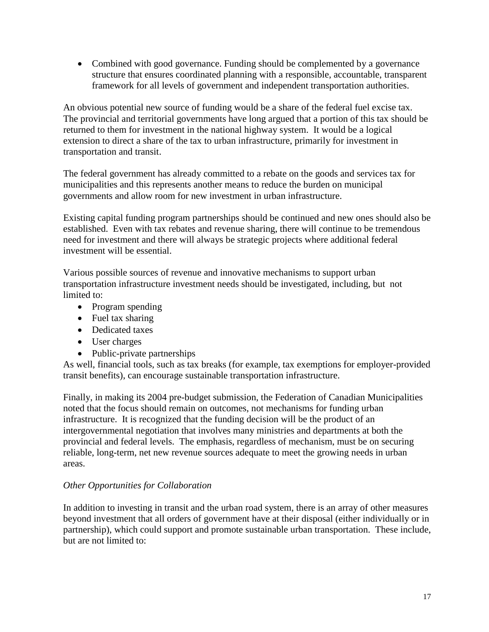• Combined with good governance. Funding should be complemented by a governance structure that ensures coordinated planning with a responsible, accountable, transparent framework for all levels of government and independent transportation authorities.

An obvious potential new source of funding would be a share of the federal fuel excise tax. The provincial and territorial governments have long argued that a portion of this tax should be returned to them for investment in the national highway system. It would be a logical extension to direct a share of the tax to urban infrastructure, primarily for investment in transportation and transit.

The federal government has already committed to a rebate on the goods and services tax for municipalities and this represents another means to reduce the burden on municipal governments and allow room for new investment in urban infrastructure.

Existing capital funding program partnerships should be continued and new ones should also be established. Even with tax rebates and revenue sharing, there will continue to be tremendous need for investment and there will always be strategic projects where additional federal investment will be essential.

Various possible sources of revenue and innovative mechanisms to support urban transportation infrastructure investment needs should be investigated, including, but not limited to:

- Program spending
- Fuel tax sharing
- Dedicated taxes
- User charges
- Public-private partnerships

As well, financial tools, such as tax breaks (for example, tax exemptions for employer-provided transit benefits), can encourage sustainable transportation infrastructure.

Finally, in making its 2004 pre-budget submission, the Federation of Canadian Municipalities noted that the focus should remain on outcomes, not mechanisms for funding urban infrastructure. It is recognized that the funding decision will be the product of an intergovernmental negotiation that involves many ministries and departments at both the provincial and federal levels. The emphasis, regardless of mechanism, must be on securing reliable, long-term, net new revenue sources adequate to meet the growing needs in urban areas.

# *Other Opportunities for Collaboration*

In addition to investing in transit and the urban road system, there is an array of other measures beyond investment that all orders of government have at their disposal (either individually or in partnership), which could support and promote sustainable urban transportation. These include, but are not limited to: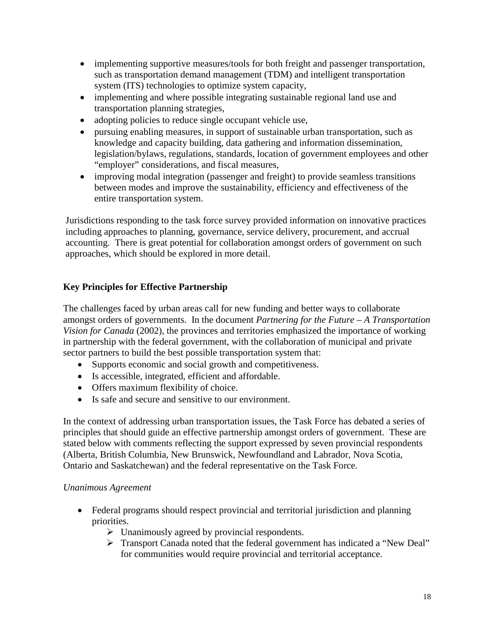- implementing supportive measures/tools for both freight and passenger transportation, such as transportation demand management (TDM) and intelligent transportation system (ITS) technologies to optimize system capacity,
- implementing and where possible integrating sustainable regional land use and transportation planning strategies,
- adopting policies to reduce single occupant vehicle use,
- pursuing enabling measures, in support of sustainable urban transportation, such as knowledge and capacity building, data gathering and information dissemination, legislation/bylaws, regulations, standards, location of government employees and other "employer" considerations, and fiscal measures,
- improving modal integration (passenger and freight) to provide seamless transitions between modes and improve the sustainability, efficiency and effectiveness of the entire transportation system.

Jurisdictions responding to the task force survey provided information on innovative practices including approaches to planning, governance, service delivery, procurement, and accrual accounting. There is great potential for collaboration amongst orders of government on such approaches, which should be explored in more detail.

# **Key Principles for Effective Partnership**

The challenges faced by urban areas call for new funding and better ways to collaborate amongst orders of governments. In the document *Partnering for the Future – A Transportation Vision for Canada* (2002), the provinces and territories emphasized the importance of working in partnership with the federal government, with the collaboration of municipal and private sector partners to build the best possible transportation system that:

- Supports economic and social growth and competitiveness.
- Is accessible, integrated, efficient and affordable.
- Offers maximum flexibility of choice.
- Is safe and secure and sensitive to our environment.

In the context of addressing urban transportation issues, the Task Force has debated a series of principles that should guide an effective partnership amongst orders of government. These are stated below with comments reflecting the support expressed by seven provincial respondents (Alberta, British Columbia, New Brunswick, Newfoundland and Labrador, Nova Scotia, Ontario and Saskatchewan) and the federal representative on the Task Force.

# *Unanimous Agreement*

- Federal programs should respect provincial and territorial jurisdiction and planning priorities.
	- $\triangleright$  Unanimously agreed by provincial respondents.
	- ¾ Transport Canada noted that the federal government has indicated a "New Deal" for communities would require provincial and territorial acceptance.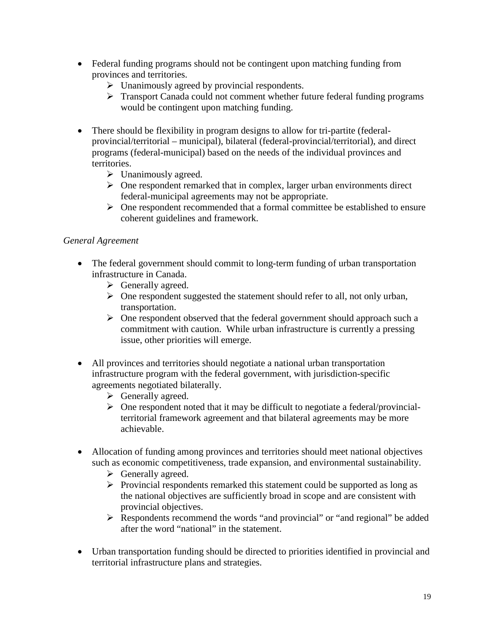- Federal funding programs should not be contingent upon matching funding from provinces and territories.
	- $\triangleright$  Unanimously agreed by provincial respondents.
	- ¾ Transport Canada could not comment whether future federal funding programs would be contingent upon matching funding.
- There should be flexibility in program designs to allow for tri-partite (federalprovincial/territorial – municipal), bilateral (federal-provincial/territorial), and direct programs (federal-municipal) based on the needs of the individual provinces and territories.
	- $\triangleright$  Unanimously agreed.
	- $\triangleright$  One respondent remarked that in complex, larger urban environments direct federal-municipal agreements may not be appropriate.
	- $\triangleright$  One respondent recommended that a formal committee be established to ensure coherent guidelines and framework.

# *General Agreement*

- The federal government should commit to long-term funding of urban transportation infrastructure in Canada.
	- $\triangleright$  Generally agreed.
	- $\triangleright$  One respondent suggested the statement should refer to all, not only urban, transportation.
	- $\triangleright$  One respondent observed that the federal government should approach such a commitment with caution. While urban infrastructure is currently a pressing issue, other priorities will emerge.
- All provinces and territories should negotiate a national urban transportation infrastructure program with the federal government, with jurisdiction-specific agreements negotiated bilaterally.
	- $\triangleright$  Generally agreed.
	- $\triangleright$  One respondent noted that it may be difficult to negotiate a federal/provincialterritorial framework agreement and that bilateral agreements may be more achievable.
- Allocation of funding among provinces and territories should meet national objectives such as economic competitiveness, trade expansion, and environmental sustainability.
	- $\triangleright$  Generally agreed.
	- ¾ Provincial respondents remarked this statement could be supported as long as the national objectives are sufficiently broad in scope and are consistent with provincial objectives.
	- ¾ Respondents recommend the words "and provincial" or "and regional" be added after the word "national" in the statement.
- Urban transportation funding should be directed to priorities identified in provincial and territorial infrastructure plans and strategies.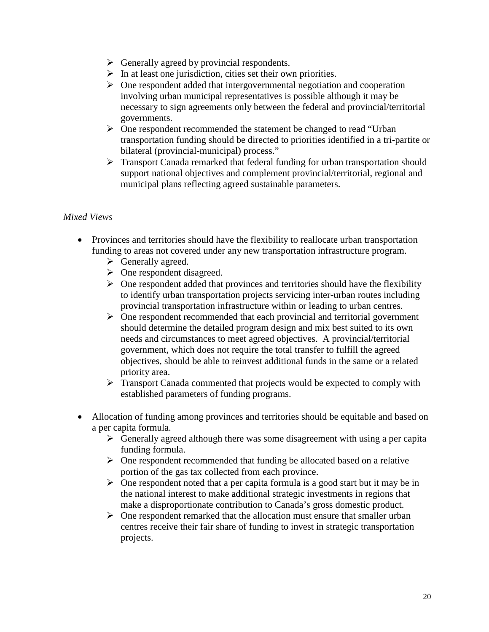- $\triangleright$  Generally agreed by provincial respondents.
- $\triangleright$  In at least one jurisdiction, cities set their own priorities.
- $\triangleright$  One respondent added that intergovernmental negotiation and cooperation involving urban municipal representatives is possible although it may be necessary to sign agreements only between the federal and provincial/territorial governments.
- ¾ One respondent recommended the statement be changed to read "Urban transportation funding should be directed to priorities identified in a tri-partite or bilateral (provincial-municipal) process."
- $\triangleright$  Transport Canada remarked that federal funding for urban transportation should support national objectives and complement provincial/territorial, regional and municipal plans reflecting agreed sustainable parameters.

## *Mixed Views*

- Provinces and territories should have the flexibility to reallocate urban transportation funding to areas not covered under any new transportation infrastructure program.
	- $\triangleright$  Generally agreed.
	- $\triangleright$  One respondent disagreed.
	- $\triangleright$  One respondent added that provinces and territories should have the flexibility to identify urban transportation projects servicing inter-urban routes including provincial transportation infrastructure within or leading to urban centres.
	- $\triangleright$  One respondent recommended that each provincial and territorial government should determine the detailed program design and mix best suited to its own needs and circumstances to meet agreed objectives. A provincial/territorial government, which does not require the total transfer to fulfill the agreed objectives, should be able to reinvest additional funds in the same or a related priority area.
	- $\triangleright$  Transport Canada commented that projects would be expected to comply with established parameters of funding programs.
- Allocation of funding among provinces and territories should be equitable and based on a per capita formula.
	- $\triangleright$  Generally agreed although there was some disagreement with using a per capita funding formula.
	- $\triangleright$  One respondent recommended that funding be allocated based on a relative portion of the gas tax collected from each province.
	- $\triangleright$  One respondent noted that a per capita formula is a good start but it may be in the national interest to make additional strategic investments in regions that make a disproportionate contribution to Canada's gross domestic product.
	- $\triangleright$  One respondent remarked that the allocation must ensure that smaller urban centres receive their fair share of funding to invest in strategic transportation projects.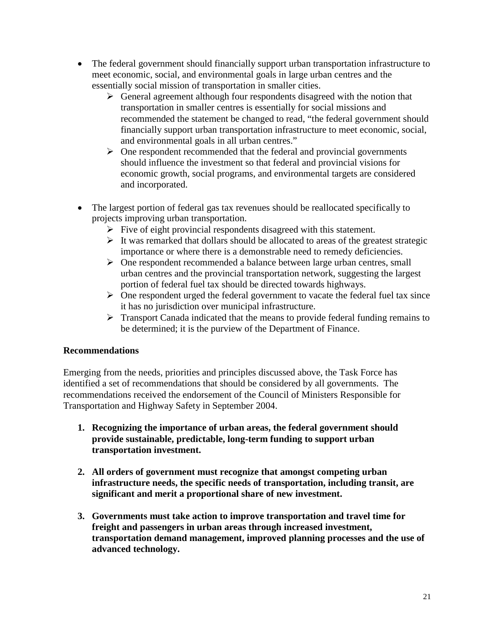- The federal government should financially support urban transportation infrastructure to meet economic, social, and environmental goals in large urban centres and the essentially social mission of transportation in smaller cities.
	- $\triangleright$  General agreement although four respondents disagreed with the notion that transportation in smaller centres is essentially for social missions and recommended the statement be changed to read, "the federal government should financially support urban transportation infrastructure to meet economic, social, and environmental goals in all urban centres."
	- $\triangleright$  One respondent recommended that the federal and provincial governments should influence the investment so that federal and provincial visions for economic growth, social programs, and environmental targets are considered and incorporated.
- The largest portion of federal gas tax revenues should be reallocated specifically to projects improving urban transportation.
	- $\triangleright$  Five of eight provincial respondents disagreed with this statement.
	- $\triangleright$  It was remarked that dollars should be allocated to areas of the greatest strategic importance or where there is a demonstrable need to remedy deficiencies.
	- $\triangleright$  One respondent recommended a balance between large urban centres, small urban centres and the provincial transportation network, suggesting the largest portion of federal fuel tax should be directed towards highways.
	- $\triangleright$  One respondent urged the federal government to vacate the federal fuel tax since it has no jurisdiction over municipal infrastructure.
	- $\triangleright$  Transport Canada indicated that the means to provide federal funding remains to be determined; it is the purview of the Department of Finance.

# **Recommendations**

Emerging from the needs, priorities and principles discussed above, the Task Force has identified a set of recommendations that should be considered by all governments. The recommendations received the endorsement of the Council of Ministers Responsible for Transportation and Highway Safety in September 2004.

- **1. Recognizing the importance of urban areas, the federal government should provide sustainable, predictable, long-term funding to support urban transportation investment.**
- **2. All orders of government must recognize that amongst competing urban infrastructure needs, the specific needs of transportation, including transit, are significant and merit a proportional share of new investment.**
- **3. Governments must take action to improve transportation and travel time for freight and passengers in urban areas through increased investment, transportation demand management, improved planning processes and the use of advanced technology.**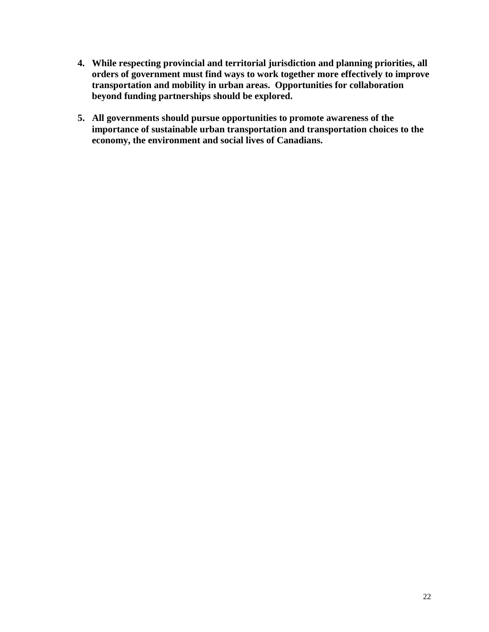- **4. While respecting provincial and territorial jurisdiction and planning priorities, all orders of government must find ways to work together more effectively to improve transportation and mobility in urban areas. Opportunities for collaboration beyond funding partnerships should be explored.**
- **5. All governments should pursue opportunities to promote awareness of the importance of sustainable urban transportation and transportation choices to the economy, the environment and social lives of Canadians.**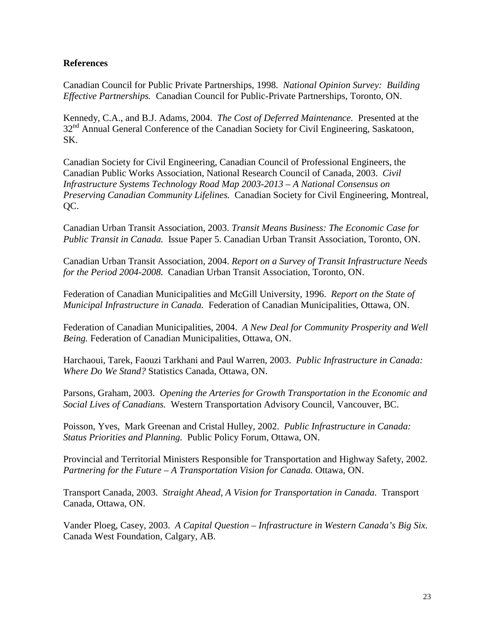## **References**

Canadian Council for Public Private Partnerships, 1998. *National Opinion Survey: Building Effective Partnerships.* Canadian Council for Public-Private Partnerships, Toronto, ON.

Kennedy, C.A., and B.J. Adams, 2004. *The Cost of Deferred Maintenance.* Presented at the 32<sup>nd</sup> Annual General Conference of the Canadian Society for Civil Engineering, Saskatoon, SK.

Canadian Society for Civil Engineering, Canadian Council of Professional Engineers, the Canadian Public Works Association, National Research Council of Canada, 2003. *Civil Infrastructure Systems Technology Road Map 2003-2013 – A National Consensus on Preserving Canadian Community Lifelines.* Canadian Society for Civil Engineering, Montreal, QC.

Canadian Urban Transit Association, 2003. *Transit Means Business: The Economic Case for Public Transit in Canada.* Issue Paper 5. Canadian Urban Transit Association, Toronto, ON.

Canadian Urban Transit Association, 2004. *Report on a Survey of Transit Infrastructure Needs for the Period 2004-2008.* Canadian Urban Transit Association, Toronto, ON.

Federation of Canadian Municipalities and McGill University, 1996. *Report on the State of Municipal Infrastructure in Canada.* Federation of Canadian Municipalities, Ottawa, ON.

Federation of Canadian Municipalities, 2004. *A New Deal for Community Prosperity and Well Being.* Federation of Canadian Municipalities, Ottawa, ON.

Harchaoui, Tarek, Faouzi Tarkhani and Paul Warren, 2003. *Public Infrastructure in Canada: Where Do We Stand?* Statistics Canada, Ottawa, ON.

Parsons, Graham, 2003. *Opening the Arteries for Growth Transportation in the Economic and Social Lives of Canadians.* Western Transportation Advisory Council, Vancouver, BC.

Poisson, Yves, Mark Greenan and Cristal Hulley, 2002. *Public Infrastructure in Canada: Status Priorities and Planning.* Public Policy Forum, Ottawa, ON.

Provincial and Territorial Ministers Responsible for Transportation and Highway Safety, 2002. *Partnering for the Future – A Transportation Vision for Canada.* Ottawa, ON.

Transport Canada, 2003. *Straight Ahead, A Vision for Transportation in Canada.* Transport Canada, Ottawa, ON.

Vander Ploeg, Casey, 2003. *A Capital Question – Infrastructure in Western Canada's Big Six.* Canada West Foundation, Calgary, AB.